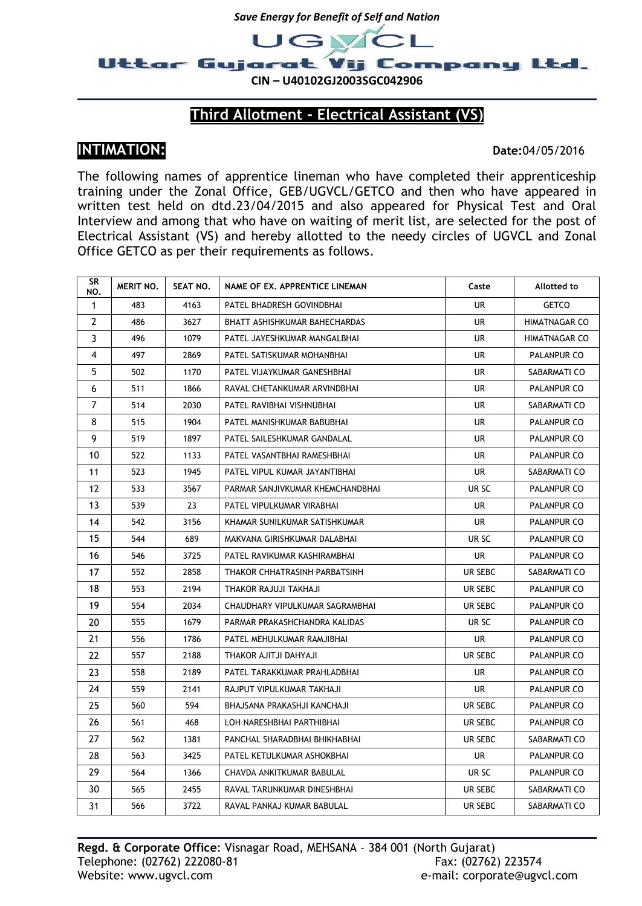



## **Third Allotment - Electrical Assistant (VS)**

## **INTIMATION: Date:**04/05/2016

The following names of apprentice lineman who have completed their apprenticeship training under the Zonal Office, GEB/UGVCL/GETCO and then who have appeared in written test held on dtd.23/04/2015 and also appeared for Physical Test and Oral Interview and among that who have on waiting of merit list, are selected for the post of Electrical Assistant (VS) and hereby allotted to the needy circles of UGVCL and Zonal Office GETCO as per their requirements as follows.

| SR<br>NO.    | MERIT NO. | SEAT NO. | NAME OF EX. APPRENTICE LINEMAN   | Caste     | Allotted to          |
|--------------|-----------|----------|----------------------------------|-----------|----------------------|
| $\mathbf{1}$ | 483       | 4163     | PATEL BHADRESH GOVINDBHAI        | UR.       | <b>GETCO</b>         |
| $\mathbf{2}$ | 486       | 3627     | BHATT ASHISHKUMAR BAHECHARDAS    | UR        | <b>HIMATNAGAR CO</b> |
| 3            | 496       | 1079     | PATEL JAYESHKUMAR MANGALBHAI     | <b>UR</b> | HIMATNAGAR CO        |
| 4            | 497       | 2869     | PATEL SATISKUMAR MOHANBHAI       | UR        | PALANPUR CO          |
| 5            | 502       | 1170     | PATEL VIJAYKUMAR GANESHBHAI      | UR        | SABARMATI CO         |
| 6            | 511       | 1866     | RAVAL CHETANKUMAR ARVINDBHAI     | UR        | PALANPUR CO          |
| 7            | 514       | 2030     | PATEL RAVIBHAI VISHNUBHAI        | <b>UR</b> | SABARMATI CO         |
| 8            | 515       | 1904     | PATEL MANISHKUMAR BABUBHAI       | UR        | PALANPUR CO          |
| 9            | 519       | 1897     | PATEL SAILESHKUMAR GANDALAL      | <b>UR</b> | PALANPUR CO          |
| 10           | 522       | 1133     | PATEL VASANTBHAI RAMESHBHAI      | UR        | PALANPUR CO          |
| 11           | 523       | 1945     | PATEL VIPUL KUMAR JAYANTIBHAI    | UR        | SABARMATI CO         |
| 12           | 533       | 3567     | PARMAR SANJIVKUMAR KHEMCHANDBHAI | ur SC     | PALANPUR CO          |
| 13           | 539       | 23       | PATEL VIPULKUMAR VIRABHAI        | <b>UR</b> | PALANPUR CO          |
| 14           | 542       | 3156     | KHAMAR SUNILKUMAR SATISHKUMAR    | UR.       | PALANPUR CO          |
| 15           | 544       | 689      | MAKVANA GIRISHKUMAR DALABHAI     | UR SC     | PALANPUR CO          |
| 16           | 546       | 3725     | PATEL RAVIKUMAR KASHIRAMBHAI     | UR        | PALANPUR CO          |
| 17           | 552       | 2858     | THAKOR CHHATRASINH PARBATSINH    | UR SEBC   | SABARMATI CO         |
| 18           | 553       | 2194     | THAKOR RAJUJI TAKHAJI            | UR SEBC   | PALANPUR CO          |
| 19           | 554       | 2034     | CHAUDHARY VIPULKUMAR SAGRAMBHAI  | UR SEBC   | PALANPUR CO          |
| 20           | 555       | 1679     | PARMAR PRAKASHCHANDRA KALIDAS    | UR SC     | PALANPUR CO          |
| 21           | 556       | 1786     | PATEL MEHULKUMAR RAMJIBHAI       | UR        | PALANPUR CO          |
| 22           | 557       | 2188     | THAKOR AJITJI DAHYAJI            | UR SEBC   | PALANPUR CO          |
| 23           | 558       | 2189     | PATEL TARAKKUMAR PRAHLADBHAI     | <b>UR</b> | PALANPUR CO          |
| 24           | 559       | 2141     | RAJPUT VIPULKUMAR TAKHAJI        | UR        | PALANPUR CO          |
| 25           | 560       | 594      | BHAJSANA PRAKASHJI KANCHAJI      | UR SEBC   | PALANPUR CO          |
| 26           | 561       | 468      | LOH NARESHBHAI PARTHIBHAI        | UR SEBC   | PALANPUR CO          |
| 27           | 562       | 1381     | PANCHAL SHARADBHAI BHIKHABHAI    | UR SEBC   | SABARMATI CO         |
| 28           | 563       | 3425     | PATEL KETULKUMAR ASHOKBHAI       | UR.       | PALANPUR CO          |
| 29           | 564       | 1366     | CHAVDA ANKITKUMAR BABULAL        | UR SC     | PALANPUR CO          |
| 30           | 565       | 2455     | RAVAL TARUNKUMAR DINESHBHAI      | UR SEBC   | SABARMATI CO         |
| 31           | 566       | 3722     | RAVAL PANKAJ KUMAR BABULAL       | UR SEBC   | SABARMATI CO         |